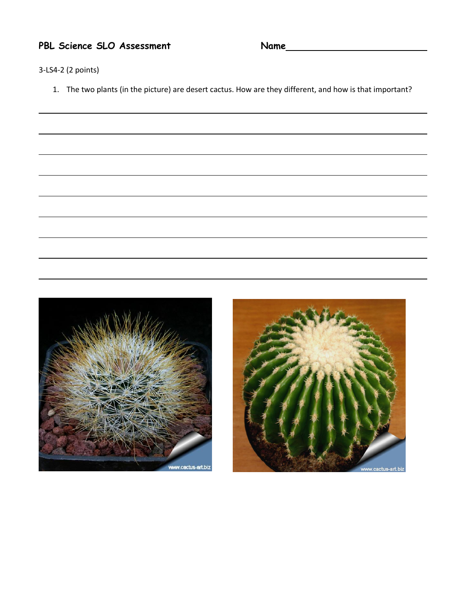**PBL Science SLO Assessment Name**

3-LS4-2 (2 points)

1. The two plants (in the picture) are desert cactus. How are they different, and how is that important?



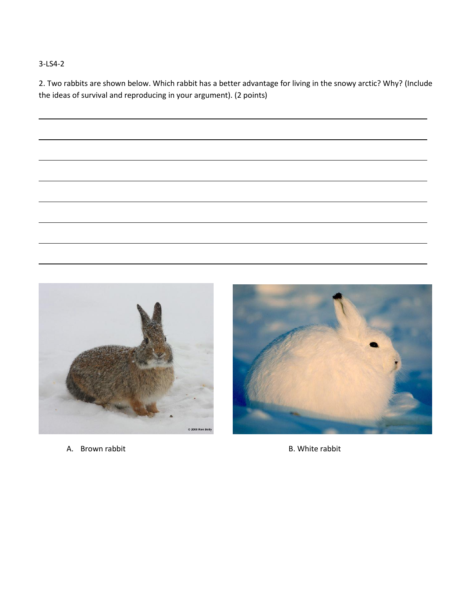#### 3-LS4-2

2. Two rabbits are shown below. Which rabbit has a better advantage for living in the snowy arctic? Why? (Include the ideas of survival and reproducing in your argument). (2 points)



A. Brown rabbit **B. White rabbit** B. White rabbit

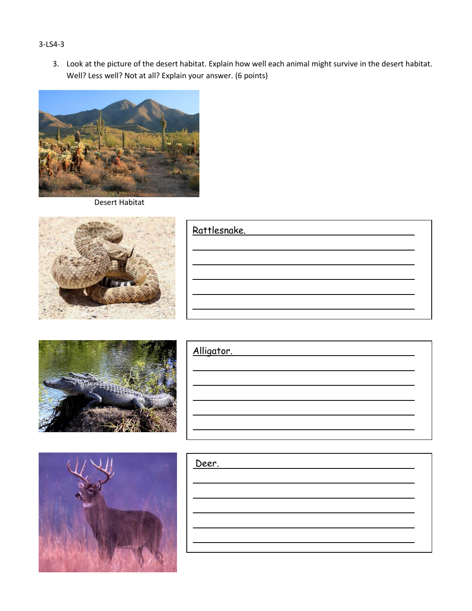#### 3-LS4-3

3. Look at the picture of the desert habitat. Explain how well each animal might survive in the desert habitat. Well? Less well? Not at all? Explain your answer. (6 points)



Desert Habitat



| Rattlesnake. |  |
|--------------|--|
|              |  |
|              |  |
|              |  |
|              |  |
|              |  |



| Alligator. |  |  |  |
|------------|--|--|--|
|            |  |  |  |
|            |  |  |  |
|            |  |  |  |
|            |  |  |  |
|            |  |  |  |



| Deer. |  |  |  |
|-------|--|--|--|
|       |  |  |  |
|       |  |  |  |
|       |  |  |  |
|       |  |  |  |
|       |  |  |  |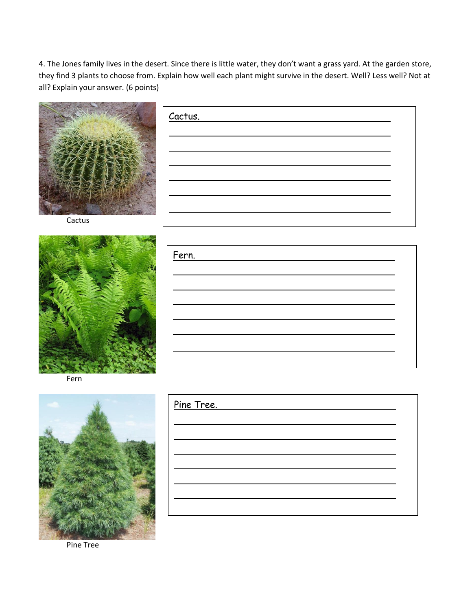4. The Jones family lives in the desert. Since there is little water, they don't want a grass yard. At the garden store, they find 3 plants to choose from. Explain how well each plant might survive in the desert. Well? Less well? Not at all? Explain your answer. (6 points)



Cactus



Fern



Pine Tree.

Pine Tree

| Fern. |  |
|-------|--|
|       |  |
|       |  |
|       |  |
|       |  |
|       |  |
|       |  |
|       |  |
|       |  |

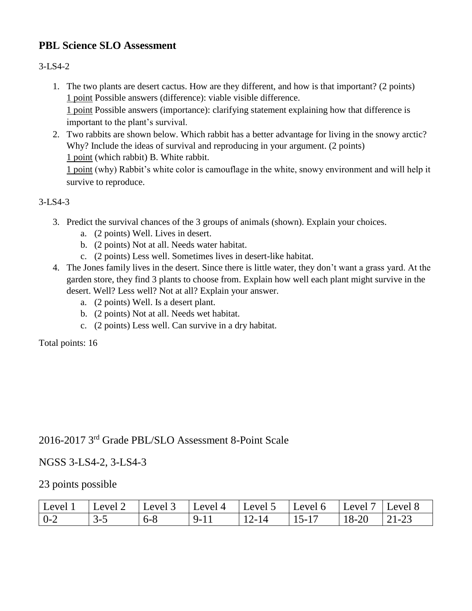## **PBL Science SLO Assessment**

#### 3-LS4-2

- 1. The two plants are desert cactus. How are they different, and how is that important? (2 points) 1 point Possible answers (difference): viable visible difference. 1 point Possible answers (importance): clarifying statement explaining how that difference is important to the plant's survival.
- 2. Two rabbits are shown below. Which rabbit has a better advantage for living in the snowy arctic? Why? Include the ideas of survival and reproducing in your argument. (2 points) 1 point (which rabbit) B. White rabbit. 1 point (why) Rabbit's white color is camouflage in the white, snowy environment and will help it survive to reproduce.

3-LS4-3

- 3. Predict the survival chances of the 3 groups of animals (shown). Explain your choices.
	- a. (2 points) Well. Lives in desert.
	- b. (2 points) Not at all. Needs water habitat.
	- c. (2 points) Less well. Sometimes lives in desert-like habitat.
- 4. The Jones family lives in the desert. Since there is little water, they don't want a grass yard. At the garden store, they find 3 plants to choose from. Explain how well each plant might survive in the desert. Well? Less well? Not at all? Explain your answer.
	- a. (2 points) Well. Is a desert plant.
	- b. (2 points) Not at all. Needs wet habitat.
	- c. (2 points) Less well. Can survive in a dry habitat.

Total points: 16

# 2016-2017 3rd Grade PBL/SLO Assessment 8-Point Scale

### NGSS 3-LS4-2, 3-LS4-3

#### 23 points possible

| Level | Level '      | Level 3 | Level 4 | Level 5         | Level 6   | Level | ' Level δ |
|-------|--------------|---------|---------|-----------------|-----------|-------|-----------|
| $0-z$ | ↑−<br>ັ<br>ັ | $0 - 8$ | $Q_{-}$ | <u> 7 – I Д</u> | $15 - 17$ | 18-20 | -21-23    |